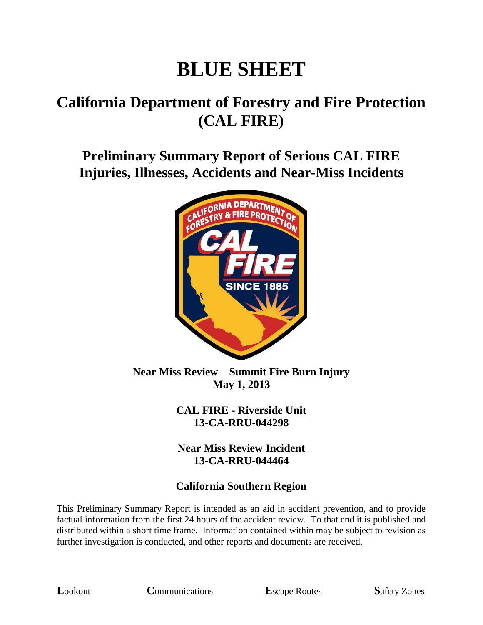# **BLUE SHEET**

## **California Department of Forestry and Fire Protection (CAL FIRE)**

**Preliminary Summary Report of Serious CAL FIRE Injuries, Illnesses, Accidents and Near-Miss Incidents**



**Near Miss Review – Summit Fire Burn Injury May 1, 2013**

> **CAL FIRE - Riverside Unit 13-CA-RRU-044298**

**Near Miss Review Incident 13-CA-RRU-044464**

#### **California Southern Region**

This Preliminary Summary Report is intended as an aid in accident prevention, and to provide factual information from the first 24 hours of the accident review. To that end it is published and distributed within a short time frame. Information contained within may be subject to revision as further investigation is conducted, and other reports and documents are received.

**L**ookout **C**ommunications **E**scape Routes **S**afety Zones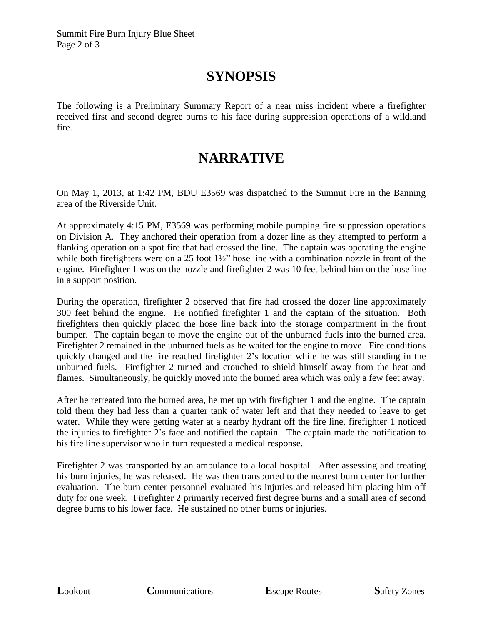#### **SYNOPSIS**

The following is a Preliminary Summary Report of a near miss incident where a firefighter received first and second degree burns to his face during suppression operations of a wildland fire.

#### **NARRATIVE**

On May 1, 2013, at 1:42 PM, BDU E3569 was dispatched to the Summit Fire in the Banning area of the Riverside Unit.

At approximately 4:15 PM, E3569 was performing mobile pumping fire suppression operations on Division A. They anchored their operation from a dozer line as they attempted to perform a flanking operation on a spot fire that had crossed the line. The captain was operating the engine while both firefighters were on a 25 foot 1½" hose line with a combination nozzle in front of the engine. Firefighter 1 was on the nozzle and firefighter 2 was 10 feet behind him on the hose line in a support position.

During the operation, firefighter 2 observed that fire had crossed the dozer line approximately 300 feet behind the engine. He notified firefighter 1 and the captain of the situation. Both firefighters then quickly placed the hose line back into the storage compartment in the front bumper. The captain began to move the engine out of the unburned fuels into the burned area. Firefighter 2 remained in the unburned fuels as he waited for the engine to move. Fire conditions quickly changed and the fire reached firefighter 2's location while he was still standing in the unburned fuels. Firefighter 2 turned and crouched to shield himself away from the heat and flames. Simultaneously, he quickly moved into the burned area which was only a few feet away.

After he retreated into the burned area, he met up with firefighter 1 and the engine. The captain told them they had less than a quarter tank of water left and that they needed to leave to get water. While they were getting water at a nearby hydrant off the fire line, firefighter 1 noticed the injuries to firefighter 2's face and notified the captain. The captain made the notification to his fire line supervisor who in turn requested a medical response.

Firefighter 2 was transported by an ambulance to a local hospital. After assessing and treating his burn injuries, he was released. He was then transported to the nearest burn center for further evaluation. The burn center personnel evaluated his injuries and released him placing him off duty for one week. Firefighter 2 primarily received first degree burns and a small area of second degree burns to his lower face. He sustained no other burns or injuries.